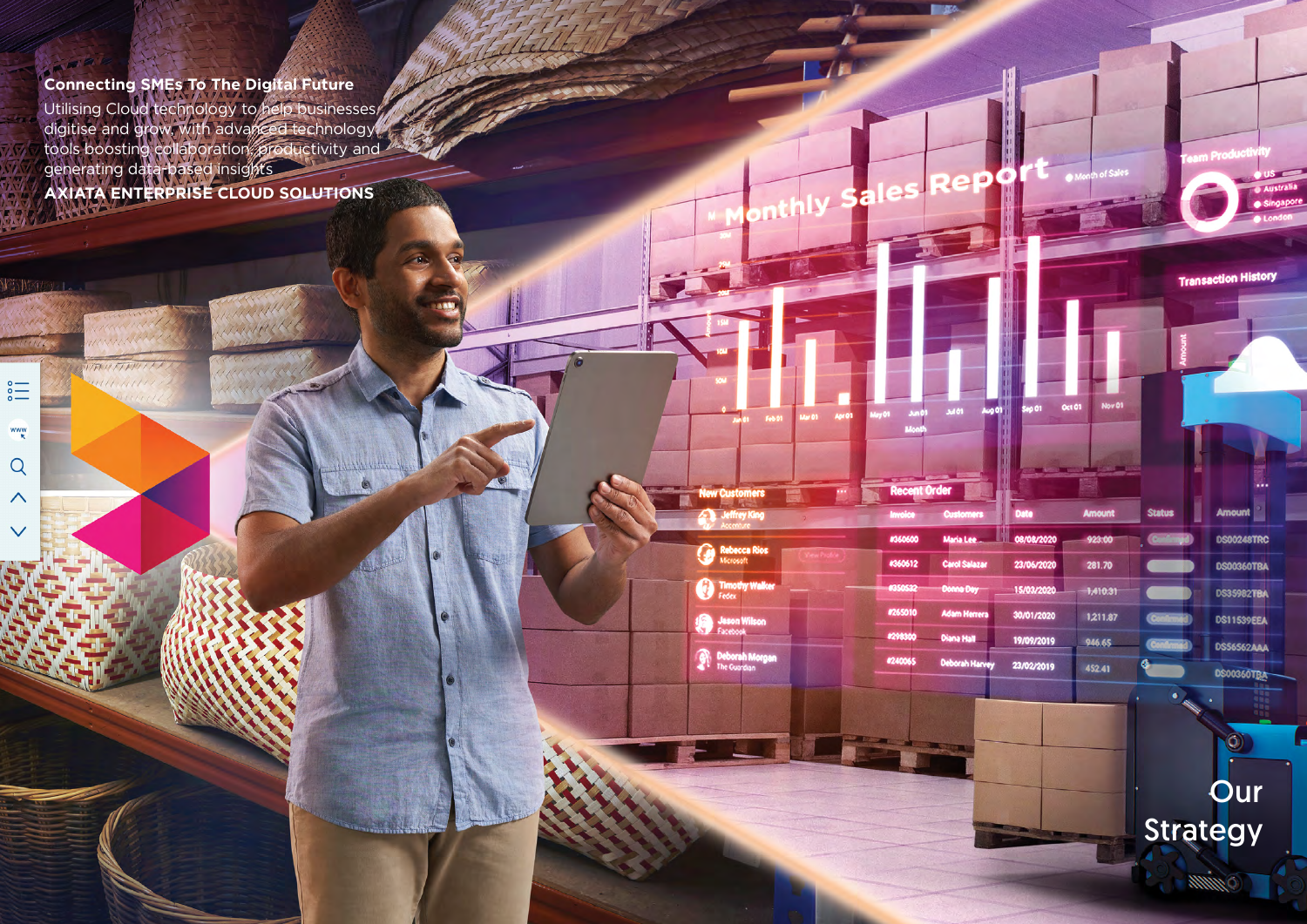**Connecting SMEs To The Digital Future** Utilising Cloud technology to help businesses digitise and grow, with advanced technology tools boosting collaboration, productivity and generating data-based insights **AXIATA ENTERPRISE CLOUD SOLUTIONS**

Overview Leadership and the contract of the contract of the contract of the contract of the contract of the contract of

**ICE AND THE CONTRACT OF A REPORT OF A REPORT OF A REPORT OF A REPORT OF A REPORT OF A REPORT OF A REPORT OF A REPORT OF A REPORT OF A REPORT OF A REPORT OF A REPORT OF A REPORT OF A REPORT OF A REPORT OF A REPORT OF A REP** 

Resilience

**New Customers** 

Rebecca Rios

**O** Timothy Walks

Jason Wilson

Deborah Morgan

Our Operating

les

a

Rep

 $\Phi$ 

 $\overline{\phantom{a}}$ 

**Addi** 

Maria Lee

**Carol Salaza** 

onna Day

**Adam Herrer** 

**Diana Hall** 

Deborah Har

**Recent Order** 

#360600

#360612

#26501

#29830

#240069

 $H$ Create Value

**Strategy**

Axiata Group Berhad

UTT UTTER

**CARRITO I** 

 $\sum_{\circ}^{\circ}$ 

 $\frac{WW}{R}$ 

 $Q$ 

 $\wedge$ 

 $\checkmark$ 



Additional Information

Month of Sale

Nov 01

Amoun

90910

281.70

 $1,410,31$ 

1,211.87

946.65

452.41

Statu

**Oct 01** 

100

**Deta** 

08/08/2020

23/06/2020

15/03/2020

30/01/2020

19/09/2019

23/02/2019

**Transaction History** 

DS00248TRC

**DS00360TBA** 

**DS35982TBA** 

**DS11539EEA** 

DS56562AAA

**DS00360TBA** 

O

**Our** Strategy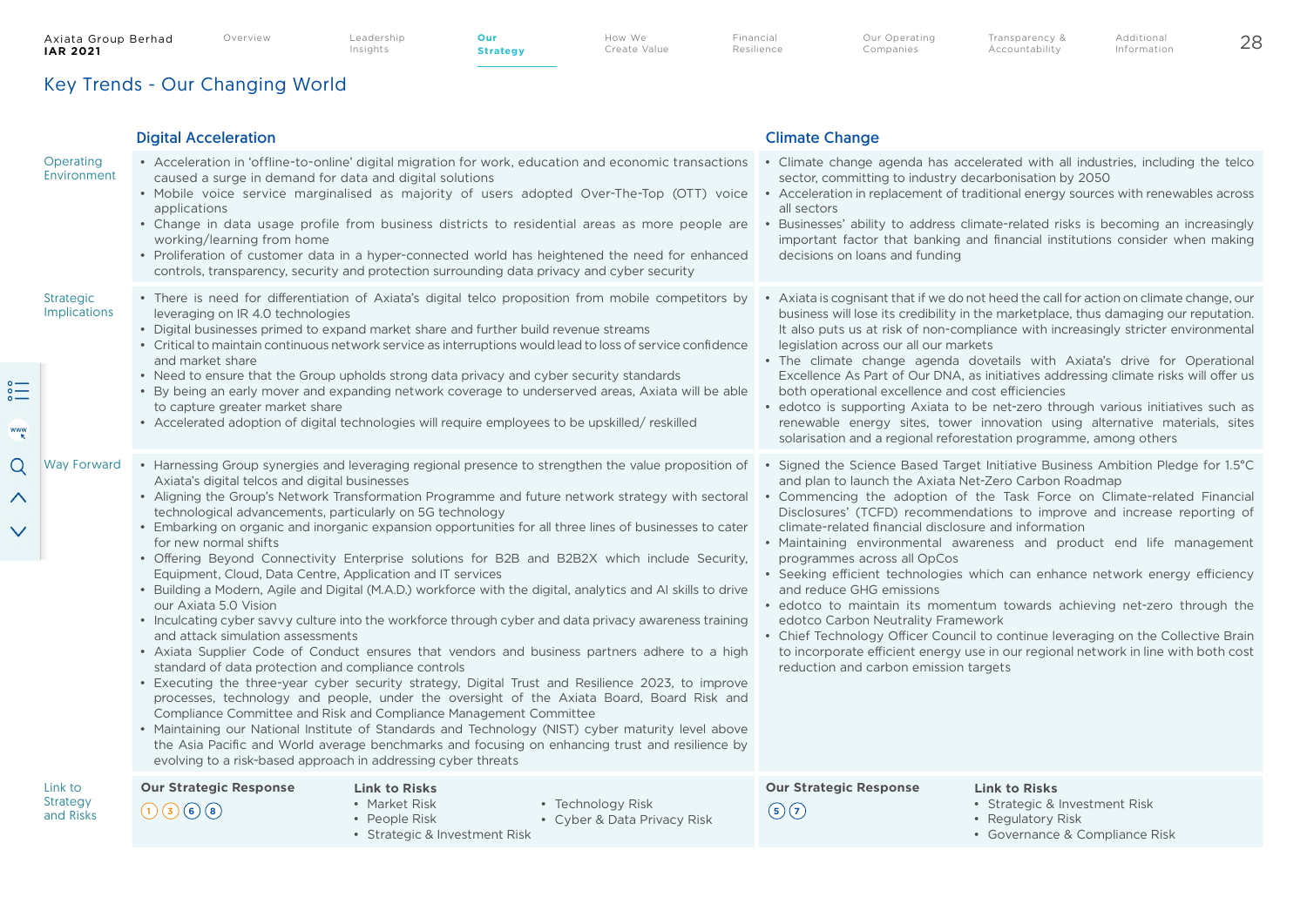www

Q

 $\checkmark$ 

**Strategy**

How We Create Value Financial Resilience Our Operating Companies

Accountability

# Key Trends - Our Changing World

#### Digital Acceleration Climate Change **Operating Environment** • Acceleration in 'offline-to-online' digital migration for work, education and economic transactions caused a surge in demand for data and digital solutions • Mobile voice service marginalised as majority of users adopted Over-The-Top (OTT) voice • Acceleration in replacement of traditional energy sources with renewables across applications • Change in data usage profile from business districts to residential areas as more people are working/learning from home • Proliferation of customer data in a hyper-connected world has heightened the need for enhanced controls, transparency, security and protection surrounding data privacy and cyber security • Climate change agenda has accelerated with all industries, including the telco sector, committing to industry decarbonisation by 2050 all sectors • Businesses' ability to address climate-related risks is becoming an increasingly important factor that banking and financial institutions consider when making decisions on loans and funding Strategic Implications • There is need for differentiation of Axiata's digital telco proposition from mobile competitors by leveraging on IR 4.0 technologies • Digital businesses primed to expand market share and further build revenue streams • Critical to maintain continuous network service as interruptions would lead to loss of service confidence and market share • Need to ensure that the Group upholds strong data privacy and cyber security standards • By being an early mover and expanding network coverage to underserved areas, Axiata will be able to capture greater market share • Accelerated adoption of digital technologies will require employees to be upskilled/ reskilled • Axiata is cognisant that if we do not heed the call for action on climate change, our business will lose its credibility in the marketplace, thus damaging our reputation. It also puts us at risk of non-compliance with increasingly stricter environmental legislation across our all our markets • The climate change agenda dovetails with Axiata's drive for Operational Excellence As Part of Our DNA, as initiatives addressing climate risks will offer us both operational excellence and cost efficiencies • edotco is supporting Axiata to be net-zero through various initiatives such as renewable energy sites, tower innovation using alternative materials, sites solarisation and a regional reforestation programme, among others Way Forward • Harnessing Group synergies and leveraging regional presence to strengthen the value proposition of Axiata's digital telcos and digital businesses • Aligning the Group's Network Transformation Programme and future network strategy with sectoral technological advancements, particularly on 5G technology • Embarking on organic and inorganic expansion opportunities for all three lines of businesses to cater for new normal shifts • Offering Beyond Connectivity Enterprise solutions for B2B and B2B2X which include Security, Equipment, Cloud, Data Centre, Application and IT services • Building a Modern, Agile and Digital (M.A.D.) workforce with the digital, analytics and AI skills to drive our Axiata 5.0 Vision • Inculcating cyber savvy culture into the workforce through cyber and data privacy awareness training and attack simulation assessments • Axiata Supplier Code of Conduct ensures that vendors and business partners adhere to a high standard of data protection and compliance controls • Executing the three-year cyber security strategy, Digital Trust and Resilience 2023, to improve processes, technology and people, under the oversight of the Axiata Board, Board Risk and Compliance Committee and Risk and Compliance Management Committee • Maintaining our National Institute of Standards and Technology (NIST) cyber maturity level above the Asia Pacific and World average benchmarks and focusing on enhancing trust and resilience by evolving to a risk-based approach in addressing cyber threats • Signed the Science Based Target Initiative Business Ambition Pledge for 1.5°C and plan to launch the Axiata Net-Zero Carbon Roadmap • Commencing the adoption of the Task Force on Climate-related Financial Disclosures' (TCFD) recommendations to improve and increase reporting of climate-related financial disclosure and information • Maintaining environmental awareness and product end life management programmes across all OpCos • Seeking efficient technologies which can enhance network energy efficiency and reduce GHG emissions • edotco to maintain its momentum towards achieving net-zero through the edotco Carbon Neutrality Framework • Chief Technology Officer Council to continue leveraging on the Collective Brain to incorporate efficient energy use in our regional network in line with both cost reduction and carbon emission targets Link to Strategy and Risks **Our Strategic Response Our Strategic Response**  $(1)(3)(6)(8)$ **Link to Risks** • Market Risk • People Risk • Strategic & Investment Risk • Technology Risk • Cyber & Data Privacy Risk **Link to Risks** • Strategic & Investment Risk • Regulatory Risk • Governance & Compliance Risk  $\mathbf{F}$   $\mathbf{F}$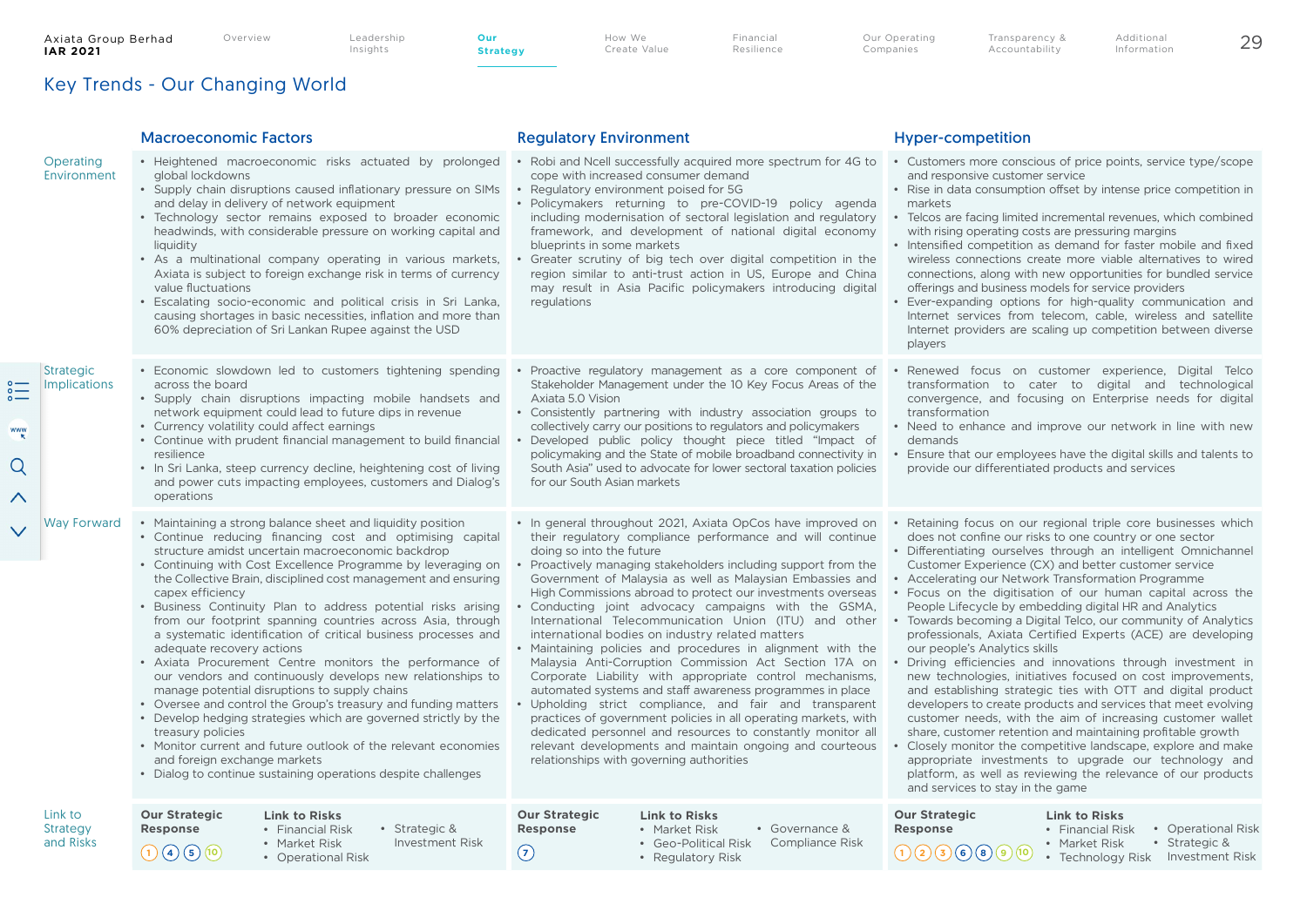**Strategy**

Key Trends - Our Changing World

|                                         |                                                                                                                                                                                                                                                                                                                                                                                                                                                                                                                                                                                                                                                                                                                                                                                                                                                                                                                                                                                                                                                                                         | <b>Macroeconomic Factors</b>                                                                                                                                                                                                                                                                                                                                                                                                                                                                                                                                                                                                                                                                                                                                                                                                                                                                                                                                                                                                                                                 | <b>Regulatory Environment</b>                                                                                                                                                                                                                                                                                                                                                                                                                                                                                                                                                                                                                                                                                                                                                                                                                                                                                                                                                                                                                                                                                                                                                                                             | <b>Hyper-competition</b>                                                                                                                                                                                                                                                                                                                                                                                                                                                                                                                                                                                                                                                                                                                                                                                                                         |
|-----------------------------------------|-----------------------------------------------------------------------------------------------------------------------------------------------------------------------------------------------------------------------------------------------------------------------------------------------------------------------------------------------------------------------------------------------------------------------------------------------------------------------------------------------------------------------------------------------------------------------------------------------------------------------------------------------------------------------------------------------------------------------------------------------------------------------------------------------------------------------------------------------------------------------------------------------------------------------------------------------------------------------------------------------------------------------------------------------------------------------------------------|------------------------------------------------------------------------------------------------------------------------------------------------------------------------------------------------------------------------------------------------------------------------------------------------------------------------------------------------------------------------------------------------------------------------------------------------------------------------------------------------------------------------------------------------------------------------------------------------------------------------------------------------------------------------------------------------------------------------------------------------------------------------------------------------------------------------------------------------------------------------------------------------------------------------------------------------------------------------------------------------------------------------------------------------------------------------------|---------------------------------------------------------------------------------------------------------------------------------------------------------------------------------------------------------------------------------------------------------------------------------------------------------------------------------------------------------------------------------------------------------------------------------------------------------------------------------------------------------------------------------------------------------------------------------------------------------------------------------------------------------------------------------------------------------------------------------------------------------------------------------------------------------------------------------------------------------------------------------------------------------------------------------------------------------------------------------------------------------------------------------------------------------------------------------------------------------------------------------------------------------------------------------------------------------------------------|--------------------------------------------------------------------------------------------------------------------------------------------------------------------------------------------------------------------------------------------------------------------------------------------------------------------------------------------------------------------------------------------------------------------------------------------------------------------------------------------------------------------------------------------------------------------------------------------------------------------------------------------------------------------------------------------------------------------------------------------------------------------------------------------------------------------------------------------------|
|                                         | Operating<br>Environment                                                                                                                                                                                                                                                                                                                                                                                                                                                                                                                                                                                                                                                                                                                                                                                                                                                                                                                                                                                                                                                                | · Heightened macroeconomic risks actuated by prolonged<br>global lockdowns<br>• Supply chain disruptions caused inflationary pressure on SIMs<br>and delay in delivery of network equipment<br>• Technology sector remains exposed to broader economic<br>headwinds, with considerable pressure on working capital and<br>liquidity<br>• As a multinational company operating in various markets,<br>Axiata is subject to foreign exchange risk in terms of currency<br>value fluctuations<br>Escalating socio-economic and political crisis in Sri Lanka,<br>causing shortages in basic necessities, inflation and more than<br>60% depreciation of Sri Lankan Rupee against the USD                                                                                                                                                                                                                                                                                                                                                                                        | cope with increased consumer demand<br>• Regulatory environment poised for 5G<br>· Policymakers returning to pre-COVID-19 policy agenda<br>including modernisation of sectoral legislation and regulatory<br>framework, and development of national digital economy<br>blueprints in some markets<br>Greater scrutiny of big tech over digital competition in the<br>region similar to anti-trust action in US, Europe and China<br>may result in Asia Pacific policymakers introducing digital<br>regulations                                                                                                                                                                                                                                                                                                                                                                                                                                                                                                                                                                                                                                                                                                            | • Robi and Ncell successfully acquired more spectrum for 4G to • Customers more conscious of price points, service type/scope<br>and responsive customer service<br>• Rise in data consumption offset by intense price competition in<br>markets<br>• Telcos are facing limited incremental revenues, which combined<br>with rising operating costs are pressuring margins<br>• Intensified competition as demand for faster mobile and fixed<br>wireless connections create more viable alternatives to wired<br>connections, along with new opportunities for bundled service<br>offerings and business models for service providers<br>Ever-expanding options for high-quality communication and<br>Internet services from telecom, cable, wireless and satellite<br>Internet providers are scaling up competition between diverse<br>players |
| $\sum_{\circ}^{\circ}$<br>www<br>Q<br>∧ | <b>Strategic</b><br><b>Implications</b>                                                                                                                                                                                                                                                                                                                                                                                                                                                                                                                                                                                                                                                                                                                                                                                                                                                                                                                                                                                                                                                 | • Economic slowdown led to customers tightening spending<br>across the board<br>• Supply chain disruptions impacting mobile handsets and<br>network equipment could lead to future dips in revenue<br>• Currency volatility could affect earnings<br>• Continue with prudent financial management to build financial<br>resilience<br>• In Sri Lanka, steep currency decline, heightening cost of living<br>and power cuts impacting employees, customers and Dialog's<br>operations                                                                                                                                                                                                                                                                                                                                                                                                                                                                                                                                                                                         | Proactive regulatory management as a core component of<br>Stakeholder Management under the 10 Key Focus Areas of the<br>Axiata 5.0 Vision<br>• Consistently partnering with industry association groups to<br>collectively carry our positions to regulators and policymakers<br>Developed public policy thought piece titled "Impact of<br>policymaking and the State of mobile broadband connectivity in<br>South Asia" used to advocate for lower sectoral taxation policies<br>for our South Asian markets                                                                                                                                                                                                                                                                                                                                                                                                                                                                                                                                                                                                                                                                                                            | Renewed focus on customer experience, Digital Telco<br>transformation to cater to digital and technological<br>convergence, and focusing on Enterprise needs for digital<br>transformation<br>• Need to enhance and improve our network in line with new<br>demands<br>Ensure that our employees have the digital skills and talents to<br>provide our differentiated products and services                                                                                                                                                                                                                                                                                                                                                                                                                                                      |
|                                         | • Maintaining a strong balance sheet and liquidity position<br>Way Forward<br>• Continue reducing financing cost and optimising capital<br>structure amidst uncertain macroeconomic backdrop<br>• Continuing with Cost Excellence Programme by leveraging on<br>the Collective Brain, disciplined cost management and ensuring<br>capex efficiency<br>• Business Continuity Plan to address potential risks arising<br>from our footprint spanning countries across Asia, through<br>a systematic identification of critical business processes and<br>adequate recovery actions<br>• Axiata Procurement Centre monitors the performance of<br>our vendors and continuously develops new relationships to<br>manage potential disruptions to supply chains<br>• Oversee and control the Group's treasury and funding matters<br>• Develop hedging strategies which are governed strictly by the<br>treasury policies<br>• Monitor current and future outlook of the relevant economies<br>and foreign exchange markets<br>• Dialog to continue sustaining operations despite challenges | • In general throughout 2021, Axiata OpCos have improved on<br>their regulatory compliance performance and will continue<br>doing so into the future<br>• Proactively managing stakeholders including support from the<br>Government of Malaysia as well as Malaysian Embassies and<br>High Commissions abroad to protect our investments overseas<br>• Conducting joint advocacy campaigns with the GSMA,<br>International Telecommunication Union (ITU) and other<br>international bodies on industry related matters<br>• Maintaining policies and procedures in alignment with the<br>Malaysia Anti-Corruption Commission Act Section 17A on<br>Corporate Liability with appropriate control mechanisms,<br>automated systems and staff awareness programmes in place<br>Upholding strict compliance, and fair and transparent<br>practices of government policies in all operating markets, with<br>dedicated personnel and resources to constantly monitor all<br>relevant developments and maintain ongoing and courteous<br>relationships with governing authorities | Retaining focus on our regional triple core businesses which<br>does not confine our risks to one country or one sector<br>· Differentiating ourselves through an intelligent Omnichannel<br>Customer Experience (CX) and better customer service<br>• Accelerating our Network Transformation Programme<br>Focus on the digitisation of our human capital across the<br>People Lifecycle by embedding digital HR and Analytics<br>• Towards becoming a Digital Telco, our community of Analytics<br>professionals, Axiata Certified Experts (ACE) are developing<br>our people's Analytics skills<br>Driving efficiencies and innovations through investment in<br>new technologies, initiatives focused on cost improvements,<br>and establishing strategic ties with OTT and digital product<br>developers to create products and services that meet evolving<br>customer needs, with the aim of increasing customer wallet<br>share, customer retention and maintaining profitable growth<br>Closely monitor the competitive landscape, explore and make<br>appropriate investments to upgrade our technology and<br>platform, as well as reviewing the relevance of our products<br>and services to stay in the game |                                                                                                                                                                                                                                                                                                                                                                                                                                                                                                                                                                                                                                                                                                                                                                                                                                                  |
|                                         | Link to<br>Strategy<br>and Risks                                                                                                                                                                                                                                                                                                                                                                                                                                                                                                                                                                                                                                                                                                                                                                                                                                                                                                                                                                                                                                                        | <b>Our Strategic</b><br><b>Link to Risks</b><br>• Financial Risk<br>• Strategic &<br>Response<br>• Market Risk<br><b>Investment Risk</b><br>(1)(4)(5)(10)<br>• Operational Risk                                                                                                                                                                                                                                                                                                                                                                                                                                                                                                                                                                                                                                                                                                                                                                                                                                                                                              | <b>Our Strategic</b><br><b>Link to Risks</b><br>• Market Risk<br><b>Response</b><br>• Governance &<br>• Geo-Political Risk<br>Compliance Risk<br>$\left( \mathcal{F}\right)$<br>• Regulatory Risk                                                                                                                                                                                                                                                                                                                                                                                                                                                                                                                                                                                                                                                                                                                                                                                                                                                                                                                                                                                                                         | <b>Our Strategic</b><br><b>Link to Risks</b><br>• Financial Risk<br>Response<br>• Operational Risk<br>• Market Risk<br>• Strategic &<br>$(1)$ $(2)$ $(3)$ $(6)$ $(9)$ $(0)$<br>• Technology Risk Investment Risk                                                                                                                                                                                                                                                                                                                                                                                                                                                                                                                                                                                                                                 |

How We Create Value Financial **Resilience** 

Our Operating Companies

Transparency & Accountability

Additional Information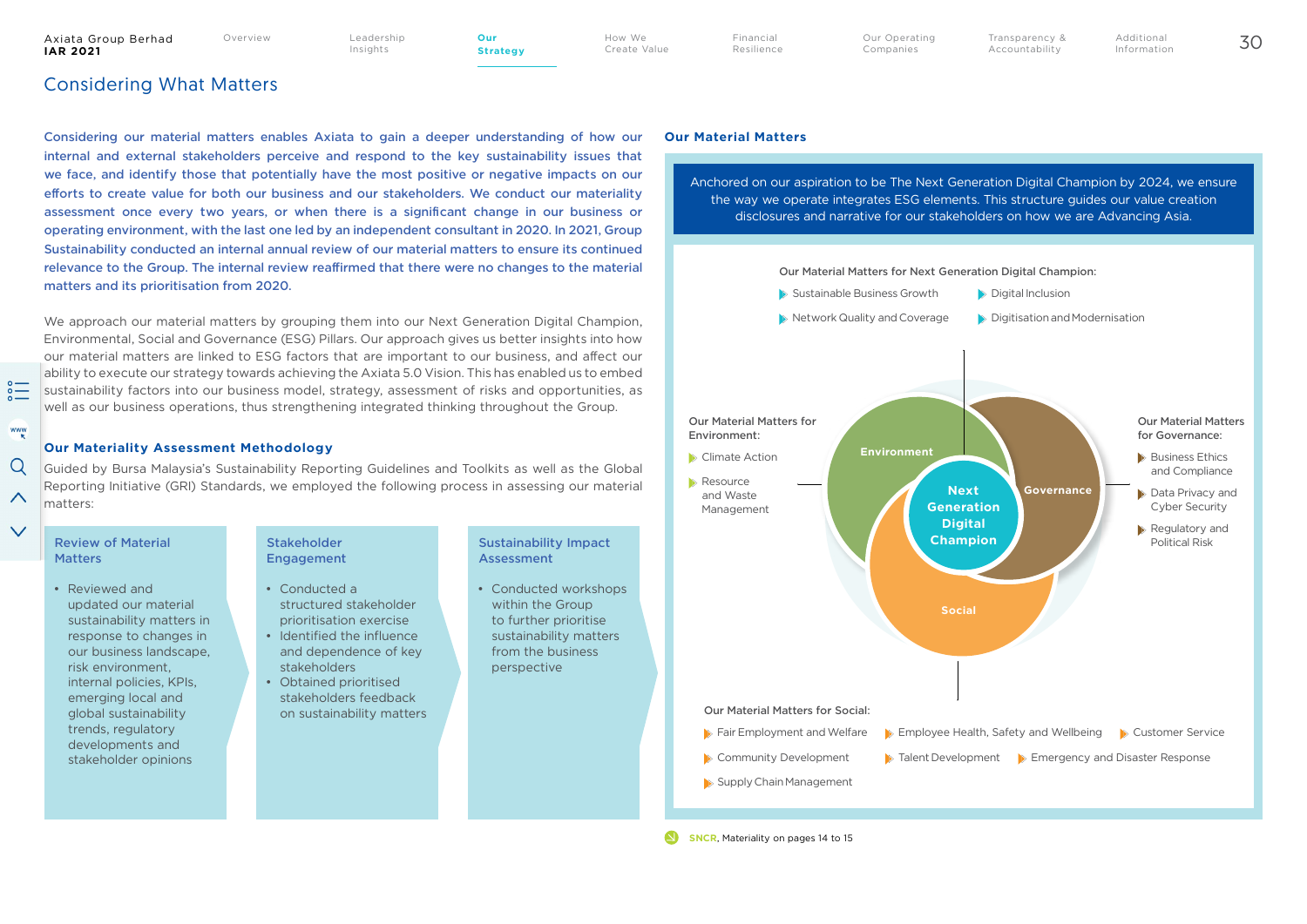Overview Leadership Insights

**Strategy**

How We Create Value Financial Resilience Additional Information

## Considering What Matters

Considering our material matters enables Axiata to gain a deeper understanding of how our internal and external stakeholders perceive and respond to the key sustainability issues that we face, and identify those that potentially have the most positive or negative impacts on our efforts to create value for both our business and our stakeholders. We conduct our materiality assessment once every two years, or when there is a significant change in our business or operating environment, with the last one led by an independent consultant in 2020. In 2021, Group Sustainability conducted an internal annual review of our material matters to ensure its continued relevance to the Group. The internal review reaffirmed that there were no changes to the material matters and its prioritisation from 2020.

We approach our material matters by grouping them into our Next Generation Digital Champion, Environmental, Social and Governance (ESG) Pillars. Our approach gives us better insights into how our material matters are linked to ESG factors that are important to our business, and affect our ability to execute our strategy towards achieving the Axiata 5.0 Vision. This has enabled us to embed sustainability factors into our business model, strategy, assessment of risks and opportunities, as well as our business operations, thus strengthening integrated thinking throughout the Group.

### **Our Materiality Assessment Methodology**

Guided by Bursa Malaysia's Sustainability Reporting Guidelines and Toolkits as well as the Global Reporting Initiative (GRI) Standards, we employed the following process in assessing our material matters:

 $rac{1}{20}$ 

www

 $\Omega$ 

 $\wedge$ 

 $\checkmark$ 

• Reviewed and updated our material sustainability matters in response to changes in our business landscape, risk environment, internal policies, KPIs, emerging local and global sustainability trends, regulatory developments and stakeholder opinions

### Stakeholder Engagement

- Conducted a structured stakeholder prioritisation exercise
- Identified the influence and dependence of key stakeholders
- Obtained prioritised stakeholders feedback on sustainability matters

#### Sustainability Impact **Assessment**

• Conducted workshops within the Group to further prioritise sustainability matters from the business perspective

### **Our Material Matters**

Anchored on our aspiration to be The Next Generation Digital Champion by 2024, we ensure the way we operate integrates ESG elements. This structure guides our value creation disclosures and narrative for our stakeholders on how we are Advancing Asia.

Transparency & Accountability

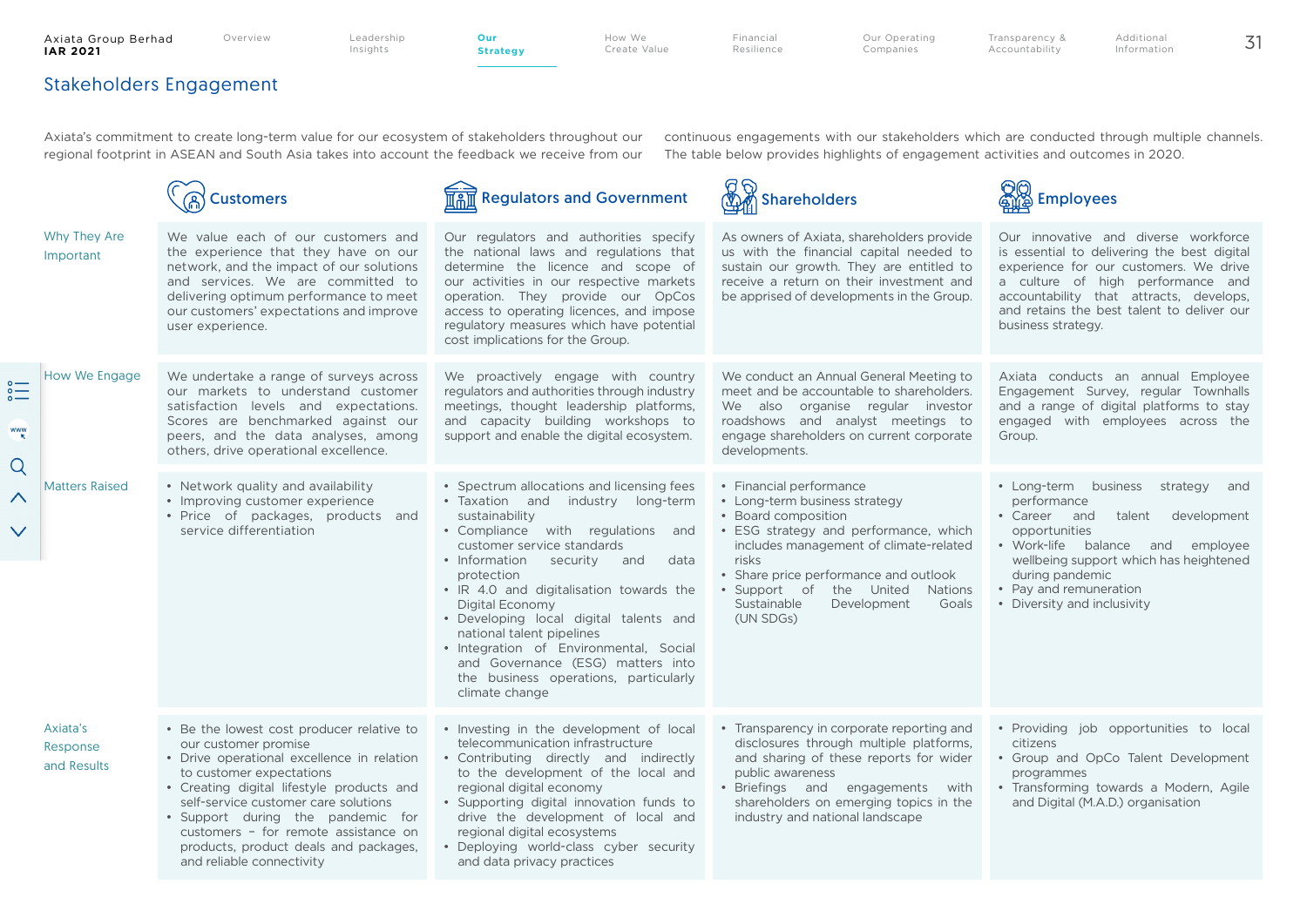**Strategy**

How We Create Value Financial Resilience Our Operating Companies

Transparency & Accountability Additional Information

## Stakeholders Engagement

Axiata's commitment to create long-term value for our ecosystem of stakeholders throughout our regional footprint in ASEAN and South Asia takes into account the feedback we receive from our continuous engagements with our stakeholders which are conducted through multiple channels. The table below provides highlights of engagement activities and outcomes in 2020.

|                                                              |                                                                                                                                                                                                                                                                     | Customers                                                                                                                                                                                                                                                                                                                                                                           | <b>Regulators and Government</b>                                                                                                                                                                                                                                                                                                                                                                                                                                                                             | ଟ ବ<br><b>Shareholders</b>                                                                                                                                                                                                                                                                                               | <b>Employees</b>                                                                                                                                                                                                                                                                  |
|--------------------------------------------------------------|---------------------------------------------------------------------------------------------------------------------------------------------------------------------------------------------------------------------------------------------------------------------|-------------------------------------------------------------------------------------------------------------------------------------------------------------------------------------------------------------------------------------------------------------------------------------------------------------------------------------------------------------------------------------|--------------------------------------------------------------------------------------------------------------------------------------------------------------------------------------------------------------------------------------------------------------------------------------------------------------------------------------------------------------------------------------------------------------------------------------------------------------------------------------------------------------|--------------------------------------------------------------------------------------------------------------------------------------------------------------------------------------------------------------------------------------------------------------------------------------------------------------------------|-----------------------------------------------------------------------------------------------------------------------------------------------------------------------------------------------------------------------------------------------------------------------------------|
|                                                              | Why They Are<br>Important                                                                                                                                                                                                                                           | We value each of our customers and<br>the experience that they have on our<br>network, and the impact of our solutions<br>and services. We are committed to<br>delivering optimum performance to meet<br>our customers' expectations and improve<br>user experience.                                                                                                                | Our regulators and authorities specify<br>the national laws and regulations that<br>determine the licence and scope of<br>our activities in our respective markets<br>operation. They provide our OpCos<br>access to operating licences, and impose<br>regulatory measures which have potential<br>cost implications for the Group.                                                                                                                                                                          | As owners of Axiata, shareholders provide<br>us with the financial capital needed to<br>sustain our growth. They are entitled to<br>receive a return on their investment and<br>be apprised of developments in the Group.                                                                                                | Our innovative and diverse workforce<br>is essential to delivering the best digital<br>experience for our customers. We drive<br>a culture of high performance and<br>accountability that attracts, develops,<br>and retains the best talent to deliver our<br>business strategy. |
| $\overset{\circ}{=}$<br><b>WWW</b><br>Q<br>∧<br>$\checkmark$ | <b>How We Engage</b><br>We undertake a range of surveys across<br>our markets to understand customer<br>satisfaction levels and expectations.<br>Scores are benchmarked against our<br>peers, and the data analyses, among<br>others, drive operational excellence. |                                                                                                                                                                                                                                                                                                                                                                                     | We proactively engage with country<br>regulators and authorities through industry<br>meetings, thought leadership platforms,<br>and capacity building workshops to<br>support and enable the digital ecosystem.                                                                                                                                                                                                                                                                                              | We conduct an Annual General Meeting to<br>meet and be accountable to shareholders.<br>We also organise regular investor<br>roadshows and analyst meetings to<br>engage shareholders on current corporate<br>developments.                                                                                               | Axiata conducts an annual Employee<br>Engagement Survey, regular Townhalls<br>and a range of digital platforms to stay<br>engaged with employees across the<br>Group.                                                                                                             |
|                                                              | <b>Matters Raised</b>                                                                                                                                                                                                                                               | • Network quality and availability<br>• Improving customer experience<br>• Price of packages, products and<br>service differentiation                                                                                                                                                                                                                                               | • Spectrum allocations and licensing fees<br>· Taxation and industry long-term<br>sustainability<br>• Compliance with regulations and<br>customer service standards<br>• Information<br>security<br>data<br>and<br>protection<br>• IR 4.0 and digitalisation towards the<br>Digital Economy<br>• Developing local digital talents and<br>national talent pipelines<br>• Integration of Environmental, Social<br>and Governance (ESG) matters into<br>the business operations, particularly<br>climate change | • Financial performance<br>• Long-term business strategy<br>• Board composition<br>• ESG strategy and performance, which<br>includes management of climate-related<br>risks<br>• Share price performance and outlook<br>• Support of<br>the United<br><b>Nations</b><br>Sustainable<br>Goals<br>Development<br>(UN SDGs) | • Long-term business<br>strategy and<br>performance<br>• Career and<br>talent<br>development<br>opportunities<br>• Work-life balance and employee<br>wellbeing support which has heightened<br>during pandemic<br>• Pay and remuneration<br>• Diversity and inclusivity           |
|                                                              | Axiata's<br>Response<br>and Results                                                                                                                                                                                                                                 | • Be the lowest cost producer relative to<br>our customer promise<br>• Drive operational excellence in relation<br>to customer expectations<br>• Creating digital lifestyle products and<br>self-service customer care solutions<br>· Support during the pandemic for<br>customers - for remote assistance on<br>products, product deals and packages,<br>and reliable connectivity | • Investing in the development of local<br>telecommunication infrastructure<br>• Contributing directly and indirectly<br>to the development of the local and<br>regional digital economy<br>• Supporting digital innovation funds to<br>drive the development of local and<br>regional digital ecosystems<br>· Deploying world-class cyber security<br>and data privacy practices                                                                                                                            | • Transparency in corporate reporting and<br>disclosures through multiple platforms,<br>and sharing of these reports for wider<br>public awareness<br>· Briefings and engagements<br>with<br>shareholders on emerging topics in the<br>industry and national landscape                                                   | • Providing job opportunities to local<br>citizens<br>• Group and OpCo Talent Development<br>programmes<br>• Transforming towards a Modern, Agile<br>and Digital (M.A.D.) organisation                                                                                            |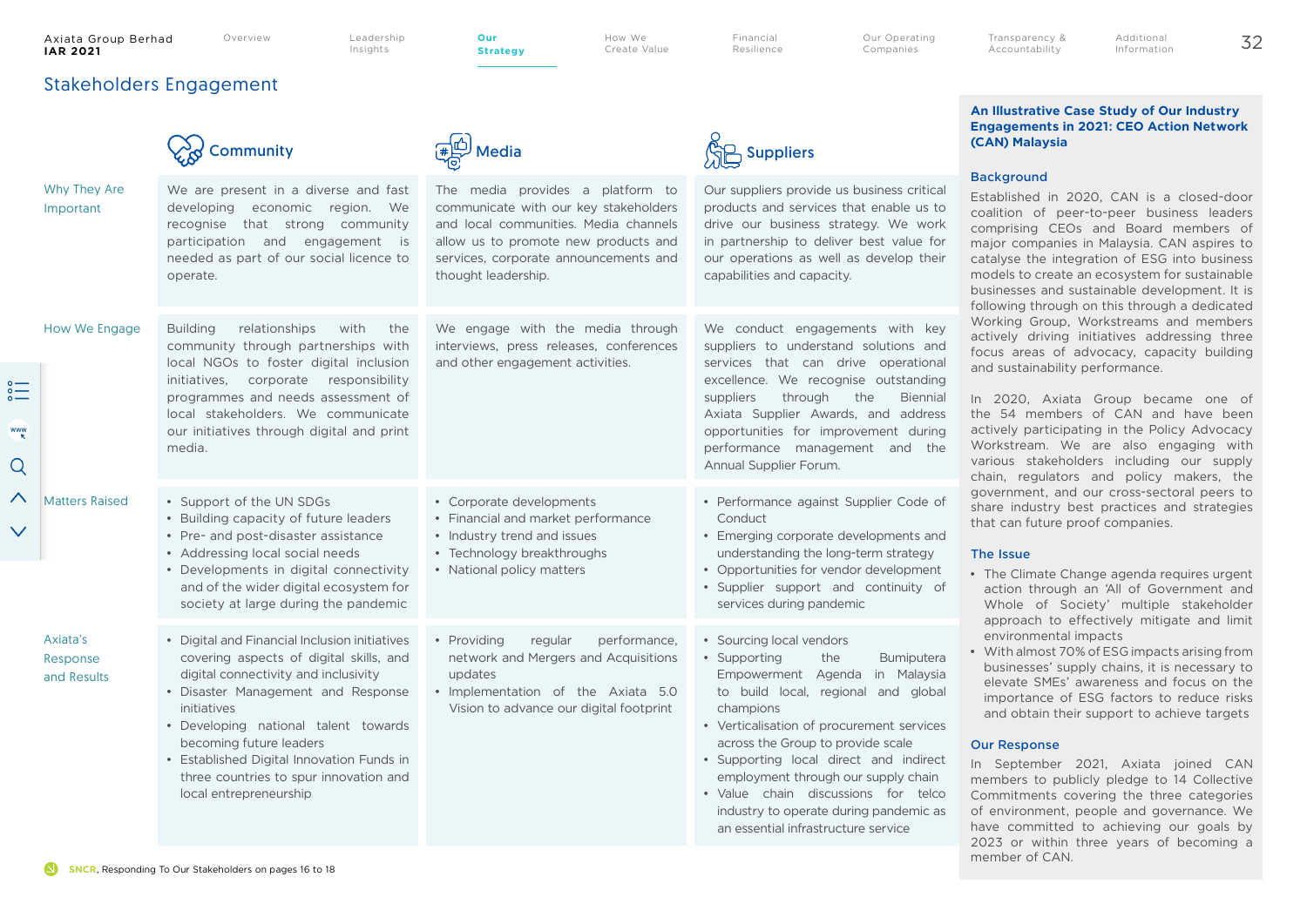#### Axiata Group Berhad<br>IAR 2021 **IAR 2021** 32 **Our**

Stakeholders Engagement

Overview Leadership Insights

**Strategy**

How We Create Value Financial Resilience Our Operating Companies

Additional Information

Transparency & Accountability

#### $\left(\frac{4}{3}\right)$  Media  $\left(\frac{1}{3}\right)$  Suppliers Why They Are We are present in a diverse and fast The media provides a platform to Important developing economic region. We communicate with our key stakeholders recognise that strong community and local communities. Media channels participation and engagement is allow us to promote new products and needed as part of our social licence to services, corporate announcements and operate. thought leadership. How We Engage Building relationships with the We engage with the media through community through partnerships with interviews, press releases, conferences local NGOs to foster digital inclusion and other engagement activities. initiatives, corporate responsibility programmes and needs assessment of local stakeholders. We communicate www our initiatives through digital and print media. Q Matters Raised • Support of the UN SDGs • Corporate developments • Building capacity of future leaders • Financial and market performance Conduct  $\checkmark$ • Pre- and post-disaster assistance • Industry trend and issues • Addressing local social needs • Technology breakthroughs • National policy matters • Developments in digital connectivity and of the wider digital ecosystem for society at large during the pandemic Axiata's • Digital and Financial Inclusion initiatives • Providing regular performance, covering aspects of digital skills, and network and Mergers and Acquisitions Response digital connectivity and inclusivity updates and Results

Our suppliers provide us business critical products and services that enable us to drive our business strategy. We work in partnership to deliver best value for our operations as well as develop their capabilities and capacity. We conduct engagements with key suppliers to understand solutions and services that can drive operational excellence. We recognise outstanding suppliers through the Biennial Axiata Supplier Awards, and address opportunities for improvement during performance management and the Annual Supplier Forum. • Performance against Supplier Code of • Emerging corporate developments and understanding the long-term strategy • Opportunities for vendor development • Supplier support and continuity of services during pandemic • Disaster Management and Response initiatives • Developing national talent towards becoming future leaders • Established Digital Innovation Funds in three countries to spur innovation and local entrepreneurship • Implementation of the Axiata 5.0 Vision to advance our digital footprint • Sourcing local vendors • Supporting the Bumiputera Empowerment Agenda in Malaysia to build local, regional and global champions • Verticalisation of procurement services across the Group to provide scale • Supporting local direct and indirect employment through our supply chain • Value chain discussions for telco industry to operate during pandemic as an essential infrastructure service **Background** and sustainability performance. that can future proof companies. The Issue environmental impacts Our Response member of CAN.



### **An Illustrative Case Study of Our Industry Engagements in 2021: CEO Action Network (CAN) Malaysia**

Established in 2020, CAN is a closed-door coalition of peer-to-peer business leaders comprising CEOs and Board members of major companies in Malaysia. CAN aspires to catalyse the integration of ESG into business models to create an ecosystem for sustainable businesses and sustainable development. It is following through on this through a dedicated Working Group, Workstreams and members actively driving initiatives addressing three focus areas of advocacy, capacity building

In 2020, Axiata Group became one of the 54 members of CAN and have been actively participating in the Policy Advocacy Workstream. We are also engaging with various stakeholders including our supply chain, regulators and policy makers, the government, and our cross-sectoral peers to share industry best practices and strategies

- The Climate Change agenda requires urgent action through an 'All of Government and Whole of Society' multiple stakeholder approach to effectively mitigate and limit
- With almost 70% of ESG impacts arising from businesses' supply chains, it is necessary to elevate SMEs' awareness and focus on the importance of ESG factors to reduce risks and obtain their support to achieve targets

In September 2021, Axiata joined CAN members to publicly pledge to 14 Collective Commitments covering the three categories of environment, people and governance. We have committed to achieving our goals by 2023 or within three years of becoming a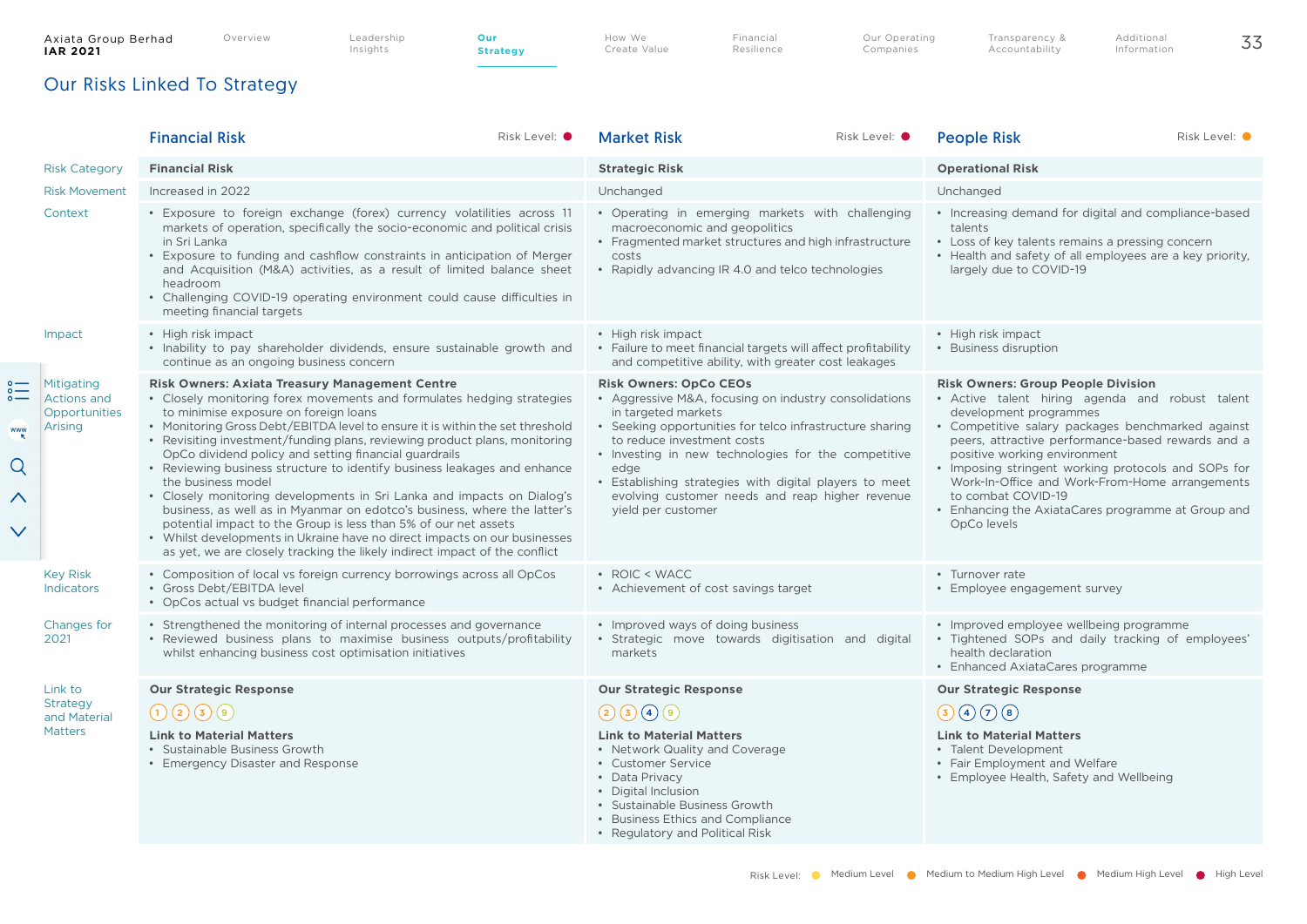How We Create Value Financial **Resilience**  Our Operating Companies

# Our Risks Linked To Strategy

|                                                  |                                                              | <b>Financial Risk</b>                                                                                                                                                                                                                                                                                                                                                                                                                                                                                                                                                                                                                                                                                                                                                                                                                                                                  | Risk Level: O | <b>Market Risk</b>                                                                                                                                                                                                                                                                                                                                                                                      | Risk Level: O | <b>People Risk</b>                                                                                                                                                                                                                                                                                                                                                                                                                                                   | Risk Level: O |
|--------------------------------------------------|--------------------------------------------------------------|----------------------------------------------------------------------------------------------------------------------------------------------------------------------------------------------------------------------------------------------------------------------------------------------------------------------------------------------------------------------------------------------------------------------------------------------------------------------------------------------------------------------------------------------------------------------------------------------------------------------------------------------------------------------------------------------------------------------------------------------------------------------------------------------------------------------------------------------------------------------------------------|---------------|---------------------------------------------------------------------------------------------------------------------------------------------------------------------------------------------------------------------------------------------------------------------------------------------------------------------------------------------------------------------------------------------------------|---------------|----------------------------------------------------------------------------------------------------------------------------------------------------------------------------------------------------------------------------------------------------------------------------------------------------------------------------------------------------------------------------------------------------------------------------------------------------------------------|---------------|
|                                                  | <b>Risk Category</b>                                         | <b>Financial Risk</b>                                                                                                                                                                                                                                                                                                                                                                                                                                                                                                                                                                                                                                                                                                                                                                                                                                                                  |               | <b>Strategic Risk</b>                                                                                                                                                                                                                                                                                                                                                                                   |               | <b>Operational Risk</b>                                                                                                                                                                                                                                                                                                                                                                                                                                              |               |
|                                                  | <b>Risk Movement</b>                                         | Increased in 2022                                                                                                                                                                                                                                                                                                                                                                                                                                                                                                                                                                                                                                                                                                                                                                                                                                                                      |               | Unchanged                                                                                                                                                                                                                                                                                                                                                                                               |               | Unchanged                                                                                                                                                                                                                                                                                                                                                                                                                                                            |               |
|                                                  | Context                                                      | • Exposure to foreign exchange (forex) currency volatilities across 11<br>markets of operation, specifically the socio-economic and political crisis<br>in Sri Lanka<br>• Exposure to funding and cashflow constraints in anticipation of Merger<br>and Acquisition (M&A) activities, as a result of limited balance sheet<br>headroom<br>• Challenging COVID-19 operating environment could cause difficulties in<br>meeting financial targets                                                                                                                                                                                                                                                                                                                                                                                                                                        |               | • Operating in emerging markets with challenging<br>macroeconomic and geopolitics<br>• Fragmented market structures and high infrastructure<br>costs<br>Rapidly advancing IR 4.0 and telco technologies                                                                                                                                                                                                 |               | • Increasing demand for digital and compliance-based<br>talents<br>• Loss of key talents remains a pressing concern<br>• Health and safety of all employees are a key priority,<br>largely due to COVID-19                                                                                                                                                                                                                                                           |               |
|                                                  | Impact                                                       | • High risk impact<br>• Inability to pay shareholder dividends, ensure sustainable growth and<br>continue as an ongoing business concern                                                                                                                                                                                                                                                                                                                                                                                                                                                                                                                                                                                                                                                                                                                                               |               | • High risk impact<br>• Failure to meet financial targets will affect profitability<br>and competitive ability, with greater cost leakages                                                                                                                                                                                                                                                              |               | • High risk impact<br>• Business disruption                                                                                                                                                                                                                                                                                                                                                                                                                          |               |
| $rac{1}{\circ}$<br>www<br>Q<br>∧<br>$\checkmark$ | Mitigating<br><b>Actions and</b><br>Opportunities<br>Arising | <b>Risk Owners: Axiata Treasury Management Centre</b><br>• Closely monitoring forex movements and formulates hedging strategies<br>to minimise exposure on foreign loans<br>• Monitoring Gross Debt/EBITDA level to ensure it is within the set threshold<br>• Revisiting investment/funding plans, reviewing product plans, monitoring<br>OpCo dividend policy and setting financial guardrails<br>• Reviewing business structure to identify business leakages and enhance<br>the business model<br>• Closely monitoring developments in Sri Lanka and impacts on Dialog's<br>business, as well as in Myanmar on edotco's business, where the latter's<br>potential impact to the Group is less than 5% of our net assets<br>• Whilst developments in Ukraine have no direct impacts on our businesses<br>as yet, we are closely tracking the likely indirect impact of the conflict |               | <b>Risk Owners: OpCo CEOs</b><br>• Aggressive M&A, focusing on industry consolidations<br>in targeted markets<br>• Seeking opportunities for telco infrastructure sharing<br>to reduce investment costs<br>• Investing in new technologies for the competitive<br>edge<br>Establishing strategies with digital players to meet<br>evolving customer needs and reap higher revenue<br>yield per customer |               | <b>Risk Owners: Group People Division</b><br>· Active talent hiring agenda and robust talent<br>development programmes<br>• Competitive salary packages benchmarked against<br>peers, attractive performance-based rewards and a<br>positive working environment<br>• Imposing stringent working protocols and SOPs for<br>Work-In-Office and Work-From-Home arrangements<br>to combat COVID-19<br>• Enhancing the AxiataCares programme at Group and<br>OpCo levels |               |
|                                                  | <b>Key Risk</b><br><b>Indicators</b>                         | • Composition of local vs foreign currency borrowings across all OpCos<br>• Gross Debt/EBITDA level<br>• OpCos actual vs budget financial performance                                                                                                                                                                                                                                                                                                                                                                                                                                                                                                                                                                                                                                                                                                                                  |               | • ROIC < WACC<br>• Achievement of cost savings target                                                                                                                                                                                                                                                                                                                                                   |               | • Turnover rate<br>• Employee engagement survey                                                                                                                                                                                                                                                                                                                                                                                                                      |               |
|                                                  | Changes for<br>2021                                          | • Strengthened the monitoring of internal processes and governance<br>• Reviewed business plans to maximise business outputs/profitability<br>whilst enhancing business cost optimisation initiatives                                                                                                                                                                                                                                                                                                                                                                                                                                                                                                                                                                                                                                                                                  |               | • Improved ways of doing business<br>· Strategic move towards digitisation and digital<br>markets                                                                                                                                                                                                                                                                                                       |               | • Improved employee wellbeing programme<br>• Tightened SOPs and daily tracking of employees'<br>health declaration<br>• Enhanced AxiataCares programme                                                                                                                                                                                                                                                                                                               |               |
|                                                  | Link to                                                      | <b>Our Strategic Response</b>                                                                                                                                                                                                                                                                                                                                                                                                                                                                                                                                                                                                                                                                                                                                                                                                                                                          |               | <b>Our Strategic Response</b>                                                                                                                                                                                                                                                                                                                                                                           |               | <b>Our Strategic Response</b>                                                                                                                                                                                                                                                                                                                                                                                                                                        |               |
|                                                  | <b>Strategy</b><br>and Material                              | $\bigodot (2) \bigodot (3)$                                                                                                                                                                                                                                                                                                                                                                                                                                                                                                                                                                                                                                                                                                                                                                                                                                                            |               | 23009                                                                                                                                                                                                                                                                                                                                                                                                   |               | $\bigcirc \bigcirc \bigcirc \bigcirc \bigcirc \bigcirc$                                                                                                                                                                                                                                                                                                                                                                                                              |               |
|                                                  | <b>Matters</b>                                               | <b>Link to Material Matters</b><br>• Sustainable Business Growth<br>• Emergency Disaster and Response                                                                                                                                                                                                                                                                                                                                                                                                                                                                                                                                                                                                                                                                                                                                                                                  |               | <b>Link to Material Matters</b><br>• Network Quality and Coverage<br>• Customer Service<br>• Data Privacy<br>• Digital Inclusion<br>• Sustainable Business Growth<br>• Business Ethics and Compliance<br>• Regulatory and Political Risk                                                                                                                                                                |               | <b>Link to Material Matters</b><br>• Talent Development<br>• Fair Employment and Welfare<br>• Employee Health, Safety and Wellbeing                                                                                                                                                                                                                                                                                                                                  |               |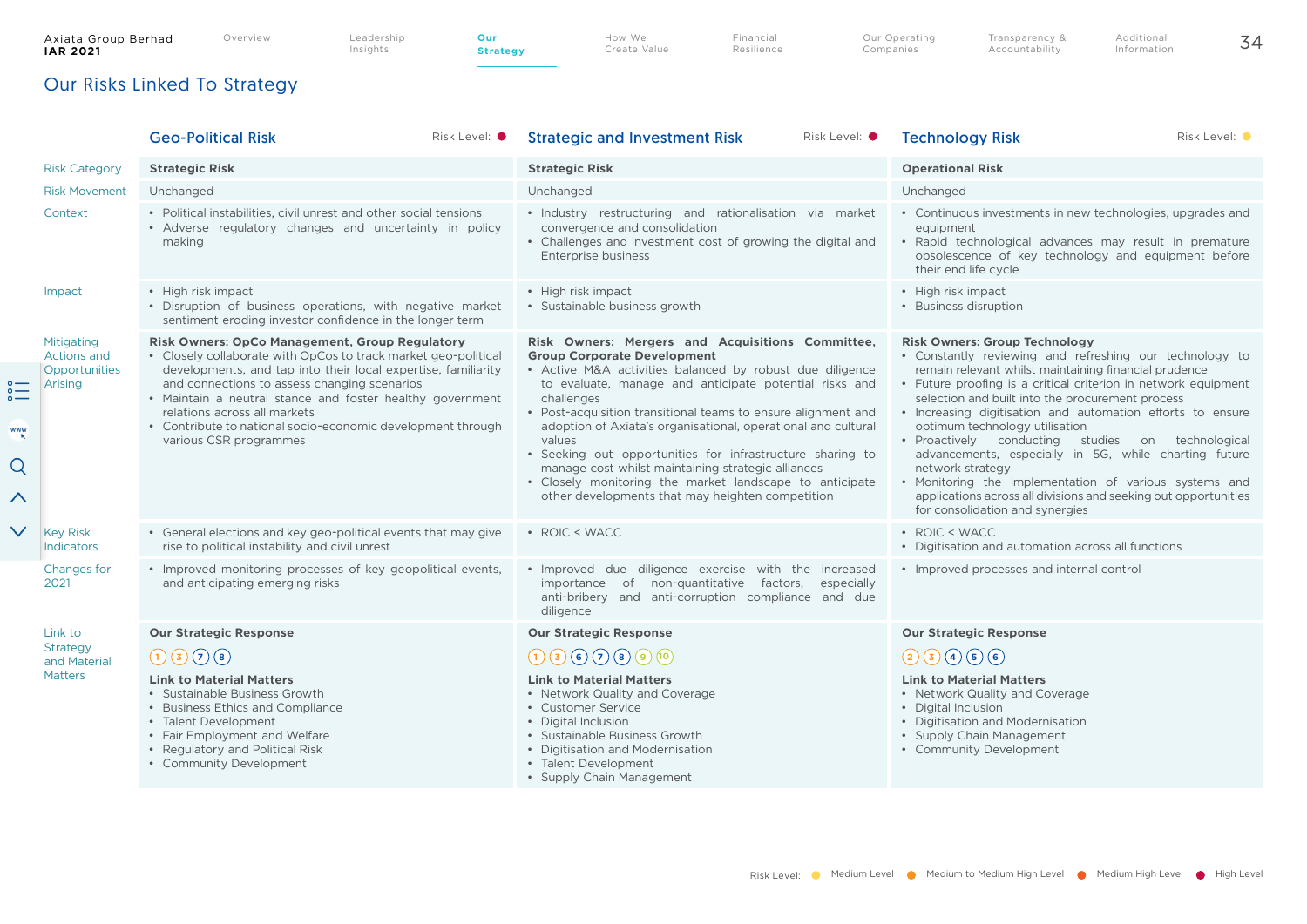**Strategy**

How We Create Value Financial **Resilience**  Our Operating Companies

Additional Information

## Our Risks Linked To Strategy

|                                                         |                                                       | Risk Level: $\bullet$<br><b>Geo-Political Risk</b>                                                                                                                                                                                                                                                                                                                                                                             | Risk Level: <sup>O</sup><br><b>Strategic and Investment Risk</b>                                                                                                                                                                                                                                                                                                                                                                                                                                                                                                                                         | Risk Level: O<br><b>Technology Risk</b>                                                                                                                                                                                                                                                                                                                                                                                                                                                                                                                                                                                                                                          |
|---------------------------------------------------------|-------------------------------------------------------|--------------------------------------------------------------------------------------------------------------------------------------------------------------------------------------------------------------------------------------------------------------------------------------------------------------------------------------------------------------------------------------------------------------------------------|----------------------------------------------------------------------------------------------------------------------------------------------------------------------------------------------------------------------------------------------------------------------------------------------------------------------------------------------------------------------------------------------------------------------------------------------------------------------------------------------------------------------------------------------------------------------------------------------------------|----------------------------------------------------------------------------------------------------------------------------------------------------------------------------------------------------------------------------------------------------------------------------------------------------------------------------------------------------------------------------------------------------------------------------------------------------------------------------------------------------------------------------------------------------------------------------------------------------------------------------------------------------------------------------------|
|                                                         | <b>Risk Category</b>                                  | <b>Strategic Risk</b>                                                                                                                                                                                                                                                                                                                                                                                                          | <b>Strategic Risk</b>                                                                                                                                                                                                                                                                                                                                                                                                                                                                                                                                                                                    | <b>Operational Risk</b>                                                                                                                                                                                                                                                                                                                                                                                                                                                                                                                                                                                                                                                          |
|                                                         | <b>Risk Movement</b>                                  | Unchanged                                                                                                                                                                                                                                                                                                                                                                                                                      | Unchanged                                                                                                                                                                                                                                                                                                                                                                                                                                                                                                                                                                                                | Unchanged                                                                                                                                                                                                                                                                                                                                                                                                                                                                                                                                                                                                                                                                        |
|                                                         | Context                                               | • Political instabilities, civil unrest and other social tensions<br>• Adverse regulatory changes and uncertainty in policy<br>making                                                                                                                                                                                                                                                                                          | · Industry restructuring and rationalisation via market<br>convergence and consolidation<br>• Challenges and investment cost of growing the digital and<br><b>Enterprise business</b>                                                                                                                                                                                                                                                                                                                                                                                                                    | • Continuous investments in new technologies, upgrades and<br>equipment<br>· Rapid technological advances may result in premature<br>obsolescence of key technology and equipment before<br>their end life cycle                                                                                                                                                                                                                                                                                                                                                                                                                                                                 |
|                                                         | Impact                                                | • High risk impact<br>• Disruption of business operations, with negative market<br>sentiment eroding investor confidence in the longer term                                                                                                                                                                                                                                                                                    | • High risk impact<br>· Sustainable business growth                                                                                                                                                                                                                                                                                                                                                                                                                                                                                                                                                      | • High risk impact<br>• Business disruption                                                                                                                                                                                                                                                                                                                                                                                                                                                                                                                                                                                                                                      |
| $\sum_{\circ}$<br><b>WWW</b><br>Q<br>$\curvearrowright$ | Mitigating<br>Actions and<br>Opportunities<br>Arising | <b>Risk Owners: OpCo Management, Group Regulatory</b><br>• Closely collaborate with OpCos to track market geo-political<br>developments, and tap into their local expertise, familiarity<br>and connections to assess changing scenarios<br>• Maintain a neutral stance and foster healthy government<br>relations across all markets<br>• Contribute to national socio-economic development through<br>various CSR programmes | Risk Owners: Mergers and Acquisitions Committee,<br><b>Group Corporate Development</b><br>• Active M&A activities balanced by robust due diligence<br>to evaluate, manage and anticipate potential risks and<br>challenges<br>• Post-acquisition transitional teams to ensure alignment and<br>adoption of Axiata's organisational, operational and cultural<br>values<br>• Seeking out opportunities for infrastructure sharing to<br>manage cost whilst maintaining strategic alliances<br>• Closely monitoring the market landscape to anticipate<br>other developments that may heighten competition | <b>Risk Owners: Group Technology</b><br>• Constantly reviewing and refreshing our technology to<br>remain relevant whilst maintaining financial prudence<br>• Future proofing is a critical criterion in network equipment<br>selection and built into the procurement process<br>• Increasing digitisation and automation efforts to ensure<br>optimum technology utilisation<br>· Proactively conducting studies on technological<br>advancements, especially in 5G, while charting future<br>network strategy<br>• Monitoring the implementation of various systems and<br>applications across all divisions and seeking out opportunities<br>for consolidation and synergies |
| $\vee$                                                  | <b>Key Risk</b><br><b>Indicators</b>                  | • General elections and key geo-political events that may give<br>rise to political instability and civil unrest                                                                                                                                                                                                                                                                                                               | • ROIC < WACC                                                                                                                                                                                                                                                                                                                                                                                                                                                                                                                                                                                            | • ROIC < WACC<br>• Digitisation and automation across all functions                                                                                                                                                                                                                                                                                                                                                                                                                                                                                                                                                                                                              |
|                                                         | Changes for<br>2021                                   | • Improved monitoring processes of key geopolitical events,<br>and anticipating emerging risks                                                                                                                                                                                                                                                                                                                                 | . Improved due diligence exercise with the increased<br>importance of non-quantitative factors, especially<br>anti-bribery and anti-corruption compliance and due<br>diligence                                                                                                                                                                                                                                                                                                                                                                                                                           | • Improved processes and internal control                                                                                                                                                                                                                                                                                                                                                                                                                                                                                                                                                                                                                                        |
|                                                         | Link to                                               | <b>Our Strategic Response</b>                                                                                                                                                                                                                                                                                                                                                                                                  | <b>Our Strategic Response</b>                                                                                                                                                                                                                                                                                                                                                                                                                                                                                                                                                                            | <b>Our Strategic Response</b>                                                                                                                                                                                                                                                                                                                                                                                                                                                                                                                                                                                                                                                    |
|                                                         | Strategy<br>and Material                              | $\bigodot$ (3) $\bigodot$ (8)                                                                                                                                                                                                                                                                                                                                                                                                  | (1)(3)(6)(7)(8)(9)(10)                                                                                                                                                                                                                                                                                                                                                                                                                                                                                                                                                                                   | 230056                                                                                                                                                                                                                                                                                                                                                                                                                                                                                                                                                                                                                                                                           |
|                                                         | <b>Matters</b>                                        | <b>Link to Material Matters</b><br>• Sustainable Business Growth<br>• Business Ethics and Compliance<br>• Talent Development<br>• Fair Employment and Welfare<br>• Regulatory and Political Risk<br>• Community Development                                                                                                                                                                                                    | <b>Link to Material Matters</b><br>• Network Quality and Coverage<br>• Customer Service<br>• Digital Inclusion<br>• Sustainable Business Growth<br>• Digitisation and Modernisation<br>• Talent Development<br>• Supply Chain Management                                                                                                                                                                                                                                                                                                                                                                 | <b>Link to Material Matters</b><br>• Network Quality and Coverage<br>• Digital Inclusion<br>• Digitisation and Modernisation<br>• Supply Chain Management<br>• Community Development                                                                                                                                                                                                                                                                                                                                                                                                                                                                                             |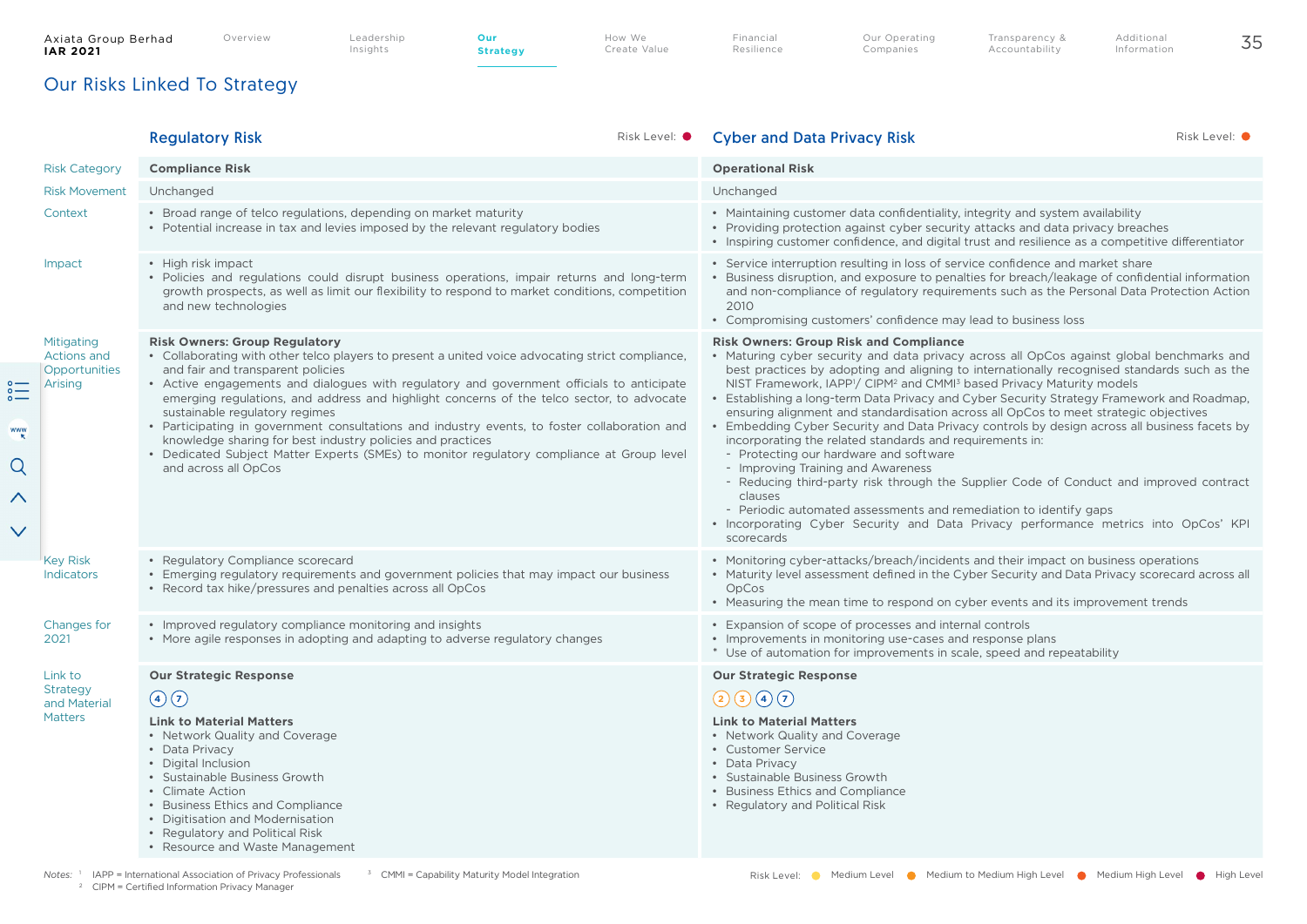**Strategy**

Transparency & Accountability

## Our Risks Linked To Strategy

|                                                                                                                                    | <b>Regulatory Risk</b>                                                                                                                                                                                                                                                                                                                                                                                                                                                                                                                                                                                                                                                                       | Risk Level: $\bullet$ | <b>Cyber and Data Privacy Risk</b>                                                                                                                                                                                                                                                                                                                                                                                                                                                                                                                                                                                                                                                                                                                                                                                                                                                                                                                                                                                                                                      | Risk Level: O |
|------------------------------------------------------------------------------------------------------------------------------------|----------------------------------------------------------------------------------------------------------------------------------------------------------------------------------------------------------------------------------------------------------------------------------------------------------------------------------------------------------------------------------------------------------------------------------------------------------------------------------------------------------------------------------------------------------------------------------------------------------------------------------------------------------------------------------------------|-----------------------|-------------------------------------------------------------------------------------------------------------------------------------------------------------------------------------------------------------------------------------------------------------------------------------------------------------------------------------------------------------------------------------------------------------------------------------------------------------------------------------------------------------------------------------------------------------------------------------------------------------------------------------------------------------------------------------------------------------------------------------------------------------------------------------------------------------------------------------------------------------------------------------------------------------------------------------------------------------------------------------------------------------------------------------------------------------------------|---------------|
| <b>Risk Category</b>                                                                                                               | <b>Compliance Risk</b>                                                                                                                                                                                                                                                                                                                                                                                                                                                                                                                                                                                                                                                                       |                       | <b>Operational Risk</b>                                                                                                                                                                                                                                                                                                                                                                                                                                                                                                                                                                                                                                                                                                                                                                                                                                                                                                                                                                                                                                                 |               |
| <b>Risk Movement</b>                                                                                                               | Unchanged                                                                                                                                                                                                                                                                                                                                                                                                                                                                                                                                                                                                                                                                                    |                       | Unchanged                                                                                                                                                                                                                                                                                                                                                                                                                                                                                                                                                                                                                                                                                                                                                                                                                                                                                                                                                                                                                                                               |               |
| Context                                                                                                                            | • Broad range of telco regulations, depending on market maturity<br>• Potential increase in tax and levies imposed by the relevant regulatory bodies                                                                                                                                                                                                                                                                                                                                                                                                                                                                                                                                         |                       | • Maintaining customer data confidentiality, integrity and system availability<br>• Providing protection against cyber security attacks and data privacy breaches<br>• Inspiring customer confidence, and digital trust and resilience as a competitive differentiator                                                                                                                                                                                                                                                                                                                                                                                                                                                                                                                                                                                                                                                                                                                                                                                                  |               |
| Impact                                                                                                                             | • High risk impact<br>• Policies and regulations could disrupt business operations, impair returns and long-term<br>growth prospects, as well as limit our flexibility to respond to market conditions, competition<br>and new technologies                                                                                                                                                                                                                                                                                                                                                                                                                                                  |                       | • Service interruption resulting in loss of service confidence and market share<br>• Business disruption, and exposure to penalties for breach/leakage of confidential information<br>and non-compliance of regulatory requirements such as the Personal Data Protection Action<br>2010<br>• Compromising customers' confidence may lead to business loss                                                                                                                                                                                                                                                                                                                                                                                                                                                                                                                                                                                                                                                                                                               |               |
| Mitigating<br><b>Actions and</b><br>Opportunities<br>$\sum_{\alpha=0}^{\infty}$<br>Arising<br><b>WWW</b><br>Q<br>∧<br>$\checkmark$ | <b>Risk Owners: Group Regulatory</b><br>• Collaborating with other telco players to present a united voice advocating strict compliance,<br>and fair and transparent policies<br>• Active engagements and dialogues with regulatory and government officials to anticipate<br>emerging regulations, and address and highlight concerns of the telco sector, to advocate<br>sustainable regulatory regimes<br>• Participating in government consultations and industry events, to foster collaboration and<br>knowledge sharing for best industry policies and practices<br>• Dedicated Subject Matter Experts (SMEs) to monitor regulatory compliance at Group level<br>and across all OpCos |                       | <b>Risk Owners: Group Risk and Compliance</b><br>• Maturing cyber security and data privacy across all OpCos against global benchmarks and<br>best practices by adopting and aligning to internationally recognised standards such as the<br>NIST Framework, IAPP <sup>1</sup> / CIPM <sup>2</sup> and CMMI <sup>3</sup> based Privacy Maturity models<br>• Establishing a long-term Data Privacy and Cyber Security Strategy Framework and Roadmap,<br>ensuring alignment and standardisation across all OpCos to meet strategic objectives<br>• Embedding Cyber Security and Data Privacy controls by design across all business facets by<br>incorporating the related standards and requirements in:<br>- Protecting our hardware and software<br>- Improving Training and Awareness<br>- Reducing third-party risk through the Supplier Code of Conduct and improved contract<br>clauses<br>- Periodic automated assessments and remediation to identify gaps<br>• Incorporating Cyber Security and Data Privacy performance metrics into OpCos' KPI<br>scorecards |               |
| <b>Key Risk</b><br>Indicators                                                                                                      | • Regulatory Compliance scorecard<br>• Emerging regulatory requirements and government policies that may impact our business<br>• Record tax hike/pressures and penalties across all OpCos                                                                                                                                                                                                                                                                                                                                                                                                                                                                                                   |                       | • Monitoring cyber-attacks/breach/incidents and their impact on business operations<br>• Maturity level assessment defined in the Cyber Security and Data Privacy scorecard across all<br>OpCos<br>• Measuring the mean time to respond on cyber events and its improvement trends                                                                                                                                                                                                                                                                                                                                                                                                                                                                                                                                                                                                                                                                                                                                                                                      |               |
| Changes for<br>2021                                                                                                                | • Improved regulatory compliance monitoring and insights<br>• More agile responses in adopting and adapting to adverse regulatory changes                                                                                                                                                                                                                                                                                                                                                                                                                                                                                                                                                    |                       | • Expansion of scope of processes and internal controls<br>• Improvements in monitoring use-cases and response plans<br>* Use of automation for improvements in scale, speed and repeatability                                                                                                                                                                                                                                                                                                                                                                                                                                                                                                                                                                                                                                                                                                                                                                                                                                                                          |               |
| Link to<br><b>Strategy</b><br>and Material<br><b>Matters</b>                                                                       | <b>Our Strategic Response</b><br>$\bigcirc$<br><b>Link to Material Matters</b><br>• Network Quality and Coverage<br>• Data Privacy<br>• Digital Inclusion<br>• Sustainable Business Growth<br>• Climate Action<br>• Business Ethics and Compliance<br>• Digitisation and Modernisation<br>• Regulatory and Political Risk<br>• Resource and Waste Management                                                                                                                                                                                                                                                                                                                                 |                       | <b>Our Strategic Response</b><br>23007<br><b>Link to Material Matters</b><br>• Network Quality and Coverage<br>• Customer Service<br>• Data Privacy<br>• Sustainable Business Growth<br>• Business Ethics and Compliance<br>• Regulatory and Political Risk                                                                                                                                                                                                                                                                                                                                                                                                                                                                                                                                                                                                                                                                                                                                                                                                             |               |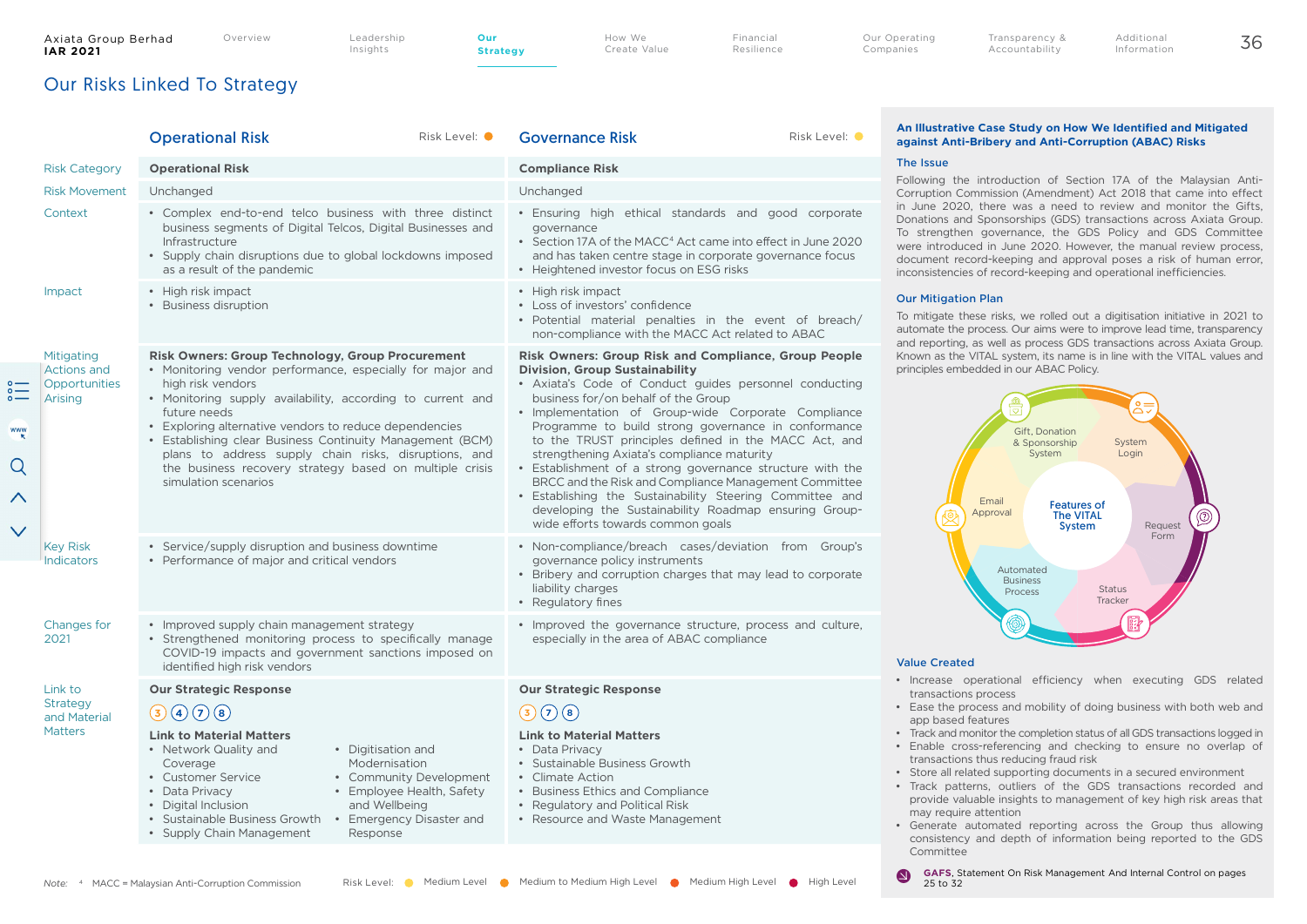$\begin{matrix} 0 \\ 0 \\ 1 \end{matrix}$ 

WWW

 $\Omega$ 

 $\wedge$ 

 $\checkmark$ 

Insights

**Strategy**

How We Create Value Financial Resilience Additional Information

## Our Risks Linked To Strategy

|                                                              | <b>Operational Risk</b>                                                                                                                                                                                                                                                                                                                                                                                                                                                                    | Risk Level: O | <b>Governance Risk</b>                                                                                                                                                                                                                                                                                                                                                                                                                                                                                                                                                                                                                                                                                    | Risk Level: O |
|--------------------------------------------------------------|--------------------------------------------------------------------------------------------------------------------------------------------------------------------------------------------------------------------------------------------------------------------------------------------------------------------------------------------------------------------------------------------------------------------------------------------------------------------------------------------|---------------|-----------------------------------------------------------------------------------------------------------------------------------------------------------------------------------------------------------------------------------------------------------------------------------------------------------------------------------------------------------------------------------------------------------------------------------------------------------------------------------------------------------------------------------------------------------------------------------------------------------------------------------------------------------------------------------------------------------|---------------|
| <b>Risk Category</b>                                         | <b>Operational Risk</b>                                                                                                                                                                                                                                                                                                                                                                                                                                                                    |               | <b>Compliance Risk</b>                                                                                                                                                                                                                                                                                                                                                                                                                                                                                                                                                                                                                                                                                    |               |
| <b>Risk Movement</b>                                         | Unchanged                                                                                                                                                                                                                                                                                                                                                                                                                                                                                  |               | Unchanged                                                                                                                                                                                                                                                                                                                                                                                                                                                                                                                                                                                                                                                                                                 |               |
| Context                                                      | • Complex end-to-end telco business with three distinct<br>business segments of Digital Telcos, Digital Businesses and<br>Infrastructure<br>• Supply chain disruptions due to global lockdowns imposed<br>as a result of the pandemic                                                                                                                                                                                                                                                      |               | · Ensuring high ethical standards and good corporate<br>governance<br>• Section 17A of the MACC <sup>4</sup> Act came into effect in June 2020<br>and has taken centre stage in corporate governance focus<br>• Heightened investor focus on ESG risks                                                                                                                                                                                                                                                                                                                                                                                                                                                    |               |
| Impact                                                       | • High risk impact<br>• Business disruption                                                                                                                                                                                                                                                                                                                                                                                                                                                |               | • High risk impact<br>• Loss of investors' confidence<br>· Potential material penalties in the event of breach/<br>non-compliance with the MACC Act related to ABAC                                                                                                                                                                                                                                                                                                                                                                                                                                                                                                                                       |               |
| Mitigating<br><b>Actions and</b><br>Opportunities<br>Arising | <b>Risk Owners: Group Technology, Group Procurement</b><br>· Monitoring vendor performance, especially for major and<br>high risk vendors<br>• Monitoring supply availability, according to current and<br>future needs<br>• Exploring alternative vendors to reduce dependencies<br>• Establishing clear Business Continuity Management (BCM)<br>plans to address supply chain risks, disruptions, and<br>the business recovery strategy based on multiple crisis<br>simulation scenarios |               | <b>Risk Owners: Group Risk and Compliance, Group People</b><br><b>Division, Group Sustainability</b><br>• Axiata's Code of Conduct guides personnel conducting<br>business for/on behalf of the Group<br>· Implementation of Group-wide Corporate Compliance<br>Programme to build strong governance in conformance<br>to the TRUST principles defined in the MACC Act, and<br>strengthening Axiata's compliance maturity<br>• Establishment of a strong governance structure with the<br>BRCC and the Risk and Compliance Management Committee<br>· Establishing the Sustainability Steering Committee and<br>developing the Sustainability Roadmap ensuring Group-<br>wide efforts towards common goals |               |
| <b>Key Risk</b><br><b>Indicators</b>                         | • Service/supply disruption and business downtime<br>• Performance of major and critical vendors                                                                                                                                                                                                                                                                                                                                                                                           |               | • Non-compliance/breach cases/deviation from Group's<br>governance policy instruments<br>• Bribery and corruption charges that may lead to corporate<br>liability charges<br>• Regulatory fines                                                                                                                                                                                                                                                                                                                                                                                                                                                                                                           |               |
| Changes for<br>2021                                          | • Improved supply chain management strategy<br>• Strengthened monitoring process to specifically manage<br>COVID-19 impacts and government sanctions imposed on<br>identified high risk vendors                                                                                                                                                                                                                                                                                            |               | • Improved the governance structure, process and culture,<br>especially in the area of ABAC compliance                                                                                                                                                                                                                                                                                                                                                                                                                                                                                                                                                                                                    |               |
| Link to                                                      | <b>Our Strategic Response</b>                                                                                                                                                                                                                                                                                                                                                                                                                                                              |               | <b>Our Strategic Response</b>                                                                                                                                                                                                                                                                                                                                                                                                                                                                                                                                                                                                                                                                             |               |
| Strategy<br>and Material                                     | 30000                                                                                                                                                                                                                                                                                                                                                                                                                                                                                      |               | $\bigodot$ (8)<br>(3)                                                                                                                                                                                                                                                                                                                                                                                                                                                                                                                                                                                                                                                                                     |               |
| <b>Matters</b>                                               | <b>Link to Material Matters</b><br>• Network Quality and<br>• Digitisation and<br>Modernisation<br>Coverage<br>• Customer Service<br>• Community Development<br>• Employee Health, Safety<br>• Data Privacy<br>· Digital Inclusion<br>and Wellbeing<br>• Sustainable Business Growth<br>• Emergency Disaster and<br>• Supply Chain Management<br>Response                                                                                                                                  |               | <b>Link to Material Matters</b><br>• Data Privacy<br>• Sustainable Business Growth<br>• Climate Action<br>• Business Ethics and Compliance<br>• Regulatory and Political Risk<br>• Resource and Waste Management                                                                                                                                                                                                                                                                                                                                                                                                                                                                                          |               |

#### **An Illustrative Case Study on How We Identified and Mitigated against Anti-Bribery and Anti-Corruption (ABAC) Risks**

Transparency & Accountability

#### The Issue

Following the introduction of Section 17A of the Malaysian Anti-Corruption Commission (Amendment) Act 2018 that came into effect in June 2020, there was a need to review and monitor the Gifts, Donations and Sponsorships (GDS) transactions across Axiata Group. To strengthen governance, the GDS Policy and GDS Committee were introduced in June 2020. However, the manual review process, document record-keeping and approval poses a risk of human error, inconsistencies of record-keeping and operational inefficiencies.

#### Our Mitigation Plan

To mitigate these risks, we rolled out a digitisation initiative in 2021 to automate the process. Our aims were to improve lead time, transparency and reporting, as well as process GDS transactions across Axiata Group. Known as the VITAL system, its name is in line with the VITAL values and principles embedded in our ABAC Policy.



#### Value Created

 $\bullet$ 

- Increase operational efficiency when executing GDS related transactions process
- Ease the process and mobility of doing business with both web and app based features
- Track and monitor the completion status of all GDS transactions logged in
- Enable cross-referencing and checking to ensure no overlap of transactions thus reducing fraud risk
- Store all related supporting documents in a secured environment
- Track patterns, outliers of the GDS transactions recorded and provide valuable insights to management of key high risk areas that may require attention
- Generate automated reporting across the Group thus allowing consistency and depth of information being reported to the GDS Committee

*Note*: <sup>4</sup> MACC = Malaysian Anti-Corruption Commission Risk Level: ● Medium Level ● Medium to Medium High Level ● Medium High Level ● High Level

**GAFS**, Statement On Risk Management And Internal Control on pages 25 to 32